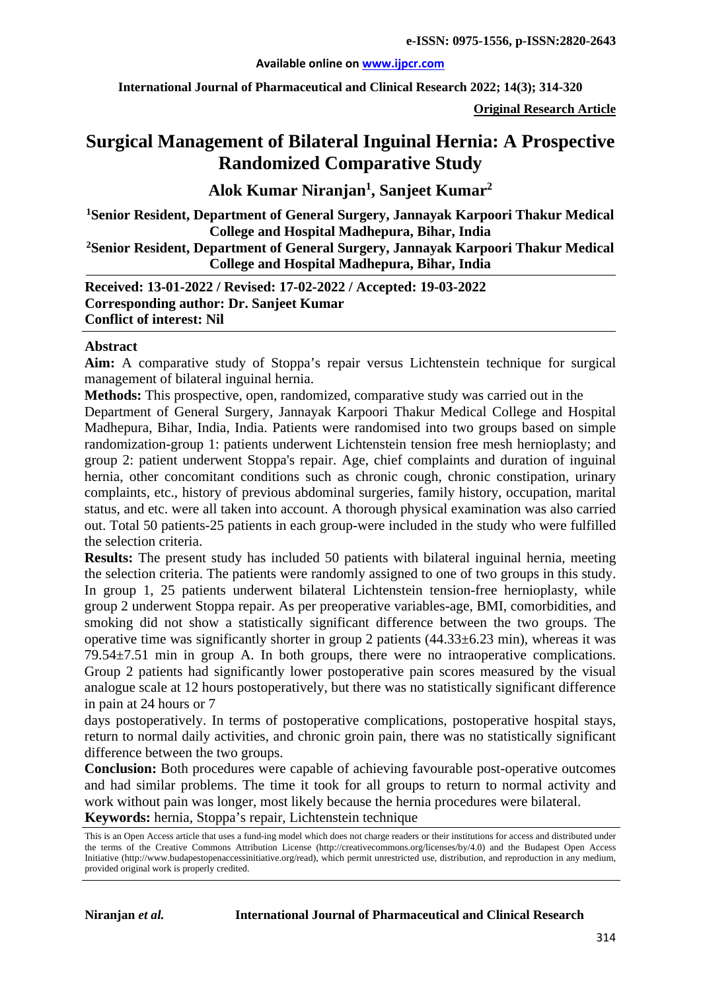#### **Available online on [www.ijpcr.com](http://www.ijpcr.com/)**

**International Journal of Pharmaceutical and Clinical Research 2022; 14(3); 314-320**

**Original Research Article**

# **Surgical Management of Bilateral Inguinal Hernia: A Prospective Randomized Comparative Study**

**Alok Kumar Niranjan1 , Sanjeet Kumar2**

**1Senior Resident, Department of General Surgery, Jannayak Karpoori Thakur Medical College and Hospital Madhepura, Bihar, India**

**2Senior Resident, Department of General Surgery, Jannayak Karpoori Thakur Medical College and Hospital Madhepura, Bihar, India**

**Received: 13-01-2022 / Revised: 17-02-2022 / Accepted: 19-03-2022 Corresponding author: Dr. Sanjeet Kumar Conflict of interest: Nil**

#### **Abstract**

**Aim:** A comparative study of Stoppa's repair versus Lichtenstein technique for surgical management of bilateral inguinal hernia.

**Methods:** This prospective, open, randomized, comparative study was carried out in the Department of General Surgery, Jannayak Karpoori Thakur Medical College and Hospital Madhepura, Bihar, India, India. Patients were randomised into two groups based on simple randomization-group 1: patients underwent Lichtenstein tension free mesh hernioplasty; and group 2: patient underwent Stoppa's repair. Age, chief complaints and duration of inguinal hernia, other concomitant conditions such as chronic cough, chronic constipation, urinary complaints, etc., history of previous abdominal surgeries, family history, occupation, marital status, and etc. were all taken into account. A thorough physical examination was also carried out. Total 50 patients-25 patients in each group-were included in the study who were fulfilled the selection criteria.

**Results:** The present study has included 50 patients with bilateral inguinal hernia, meeting the selection criteria. The patients were randomly assigned to one of two groups in this study. In group 1, 25 patients underwent bilateral Lichtenstein tension-free hernioplasty, while group 2 underwent Stoppa repair. As per preoperative variables-age, BMI, comorbidities, and smoking did not show a statistically significant difference between the two groups. The operative time was significantly shorter in group 2 patients  $(44.33\pm6.23 \text{ min})$ , whereas it was 79.54±7.51 min in group A. In both groups, there were no intraoperative complications. Group 2 patients had significantly lower postoperative pain scores measured by the visual analogue scale at 12 hours postoperatively, but there was no statistically significant difference in pain at 24 hours or 7

days postoperatively. In terms of postoperative complications, postoperative hospital stays, return to normal daily activities, and chronic groin pain, there was no statistically significant difference between the two groups.

**Conclusion:** Both procedures were capable of achieving favourable post-operative outcomes and had similar problems. The time it took for all groups to return to normal activity and work without pain was longer, most likely because the hernia procedures were bilateral.

**Keywords:** hernia, Stoppa's repair, Lichtenstein technique

This is an Open Access article that uses a fund-ing model which does not charge readers or their institutions for access and distributed under the terms of the Creative Commons Attribution License (http://creativecommons.org/licenses/by/4.0) and the Budapest Open Access Initiative (http://www.budapestopenaccessinitiative.org/read), which permit unrestricted use, distribution, and reproduction in any medium, provided original work is properly credited.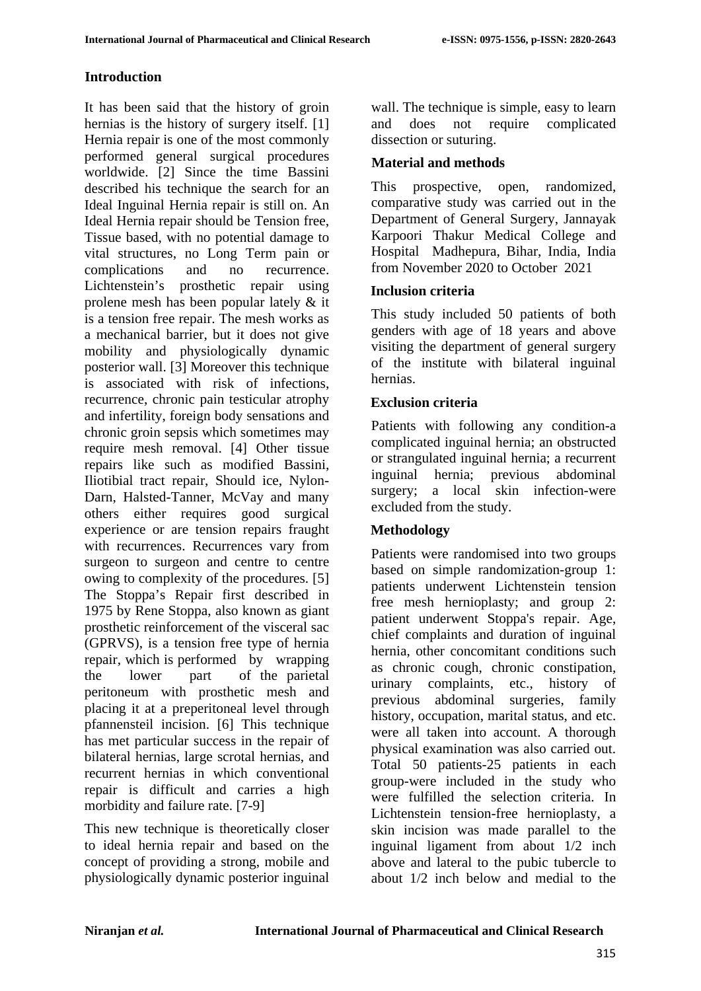### **Introduction**

It has been said that the history of groin hernias is the history of surgery itself. [1] Hernia repair is one of the most commonly performed general surgical procedures worldwide. [2] Since the time Bassini described his technique the search for an Ideal Inguinal Hernia repair is still on. An Ideal Hernia repair should be Tension free, Tissue based, with no potential damage to vital structures, no Long Term pain or complications and no recurrence. Lichtenstein's prosthetic repair using prolene mesh has been popular lately & it is a tension free repair. The mesh works as a mechanical barrier, but it does not give mobility and physiologically dynamic posterior wall. [3] Moreover this technique is associated with risk of infections, recurrence, chronic pain testicular atrophy and infertility, foreign body sensations and chronic groin sepsis which sometimes may require mesh removal. [4] Other tissue repairs like such as modified Bassini, Iliotibial tract repair, Should ice, Nylon-Darn, Halsted-Tanner, McVay and many others either requires good surgical experience or are tension repairs fraught with recurrences. Recurrences vary from surgeon to surgeon and centre to centre owing to complexity of the procedures. [5] The Stoppa's Repair first described in 1975 by Rene Stoppa, also known as giant prosthetic reinforcement of the visceral sac (GPRVS), is a tension free type of hernia repair, which is performed by wrapping the lower part of the parietal peritoneum with prosthetic mesh and placing it at a preperitoneal level through pfannensteil incision. [6] This technique has met particular success in the repair of bilateral hernias, large scrotal hernias, and recurrent hernias in which conventional repair is difficult and carries a high morbidity and failure rate. [7-9]

This new technique is theoretically closer to ideal hernia repair and based on the concept of providing a strong, mobile and physiologically dynamic posterior inguinal wall. The technique is simple, easy to learn and does not require complicated dissection or suturing.

#### **Material and methods**

This prospective, open, randomized, comparative study was carried out in the Department of General Surgery, Jannayak Karpoori Thakur Medical College and Hospital Madhepura, Bihar, India, India from November 2020 to October 2021

### **Inclusion criteria**

This study included 50 patients of both genders with age of 18 years and above visiting the department of general surgery of the institute with bilateral inguinal hernias.

### **Exclusion criteria**

Patients with following any condition-a complicated inguinal hernia; an obstructed or strangulated inguinal hernia; a recurrent inguinal hernia; previous abdominal surgery; a local skin infection-were excluded from the study.

### **Methodology**

Patients were randomised into two groups based on simple randomization-group 1: patients underwent Lichtenstein tension free mesh hernioplasty; and group 2: patient underwent Stoppa's repair. Age, chief complaints and duration of inguinal hernia, other concomitant conditions such as chronic cough, chronic constipation, urinary complaints, etc., history of previous abdominal surgeries, family history, occupation, marital status, and etc. were all taken into account. A thorough physical examination was also carried out. Total 50 patients-25 patients in each group-were included in the study who were fulfilled the selection criteria. In Lichtenstein tension-free hernioplasty, a skin incision was made parallel to the inguinal ligament from about 1/2 inch above and lateral to the pubic tubercle to about 1/2 inch below and medial to the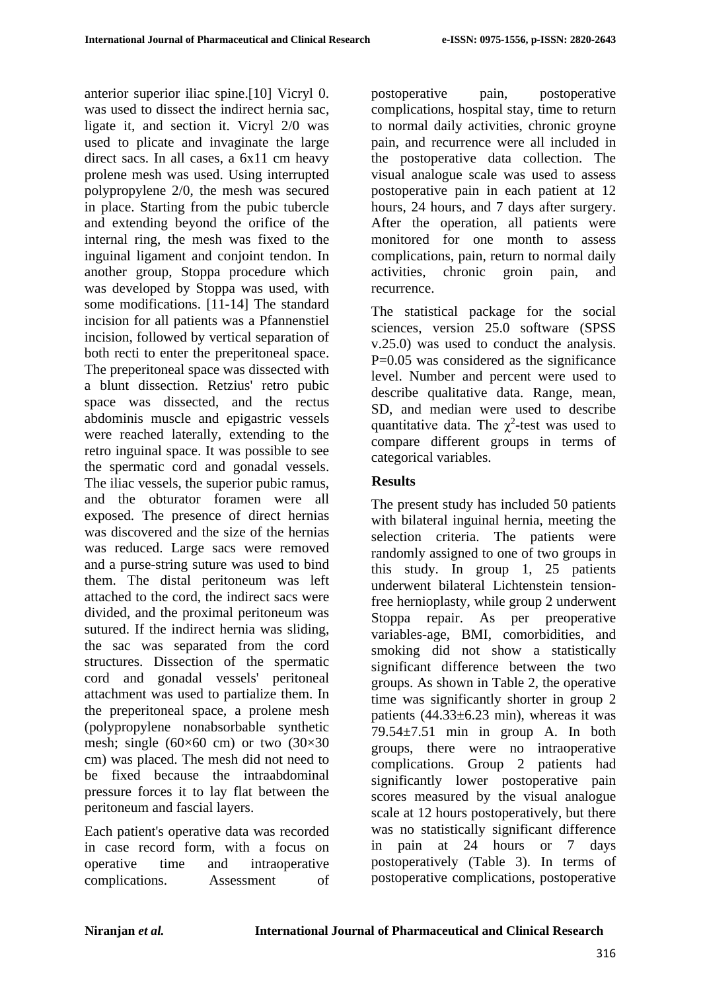anterior superior iliac spine.[10] Vicryl 0. was used to dissect the indirect hernia sac, ligate it, and section it. Vicryl 2/0 was used to plicate and invaginate the large direct sacs. In all cases, a 6x11 cm heavy prolene mesh was used. Using interrupted polypropylene 2/0, the mesh was secured in place. Starting from the pubic tubercle and extending beyond the orifice of the internal ring, the mesh was fixed to the inguinal ligament and conjoint tendon. In another group, Stoppa procedure which was developed by Stoppa was used, with some modifications. [11-14] The standard incision for all patients was a Pfannenstiel incision, followed by vertical separation of both recti to enter the preperitoneal space. The preperitoneal space was dissected with a blunt dissection. Retzius' retro pubic space was dissected, and the rectus abdominis muscle and epigastric vessels were reached laterally, extending to the retro inguinal space. It was possible to see the spermatic cord and gonadal vessels. The iliac vessels, the superior pubic ramus, and the obturator foramen were all exposed. The presence of direct hernias was discovered and the size of the hernias was reduced. Large sacs were removed and a purse-string suture was used to bind them. The distal peritoneum was left attached to the cord, the indirect sacs were divided, and the proximal peritoneum was sutured. If the indirect hernia was sliding, the sac was separated from the cord structures. Dissection of the spermatic cord and gonadal vessels' peritoneal attachment was used to partialize them. In the preperitoneal space, a prolene mesh (polypropylene nonabsorbable synthetic mesh; single  $(60\times60$  cm) or two  $(30\times30)$ cm) was placed. The mesh did not need to be fixed because the intraabdominal pressure forces it to lay flat between the peritoneum and fascial layers.

Each patient's operative data was recorded in case record form, with a focus on operative time and intraoperative complications. Assessment of

postoperative pain, postoperative complications, hospital stay, time to return to normal daily activities, chronic groyne pain, and recurrence were all included in the postoperative data collection. The visual analogue scale was used to assess postoperative pain in each patient at 12 hours, 24 hours, and 7 days after surgery. After the operation, all patients were monitored for one month to assess complications, pain, return to normal daily activities, chronic groin pain, and recurrence.

The statistical package for the social sciences, version 25.0 software (SPSS v.25.0) was used to conduct the analysis. P=0.05 was considered as the significance level. Number and percent were used to describe qualitative data. Range, mean, SD, and median were used to describe quantitative data. The  $\chi^2$ -test was used to compare different groups in terms of categorical variables.

### **Results**

The present study has included 50 patients with bilateral inguinal hernia, meeting the selection criteria. The patients were randomly assigned to one of two groups in this study. In group 1, 25 patients underwent bilateral Lichtenstein tensionfree hernioplasty, while group 2 underwent Stoppa repair. As per preoperative variables-age, BMI, comorbidities, and smoking did not show a statistically significant difference between the two groups. As shown in Table 2, the operative time was significantly shorter in group 2 patients  $(44.33 \pm 6.23 \text{ min})$ , whereas it was  $79.54 \pm 7.51$  min in group A. In both groups, there were no intraoperative complications. Group 2 patients had significantly lower postoperative pain scores measured by the visual analogue scale at 12 hours postoperatively, but there was no statistically significant difference in pain at 24 hours or 7 days postoperatively (Table 3). In terms of postoperative complications, postoperative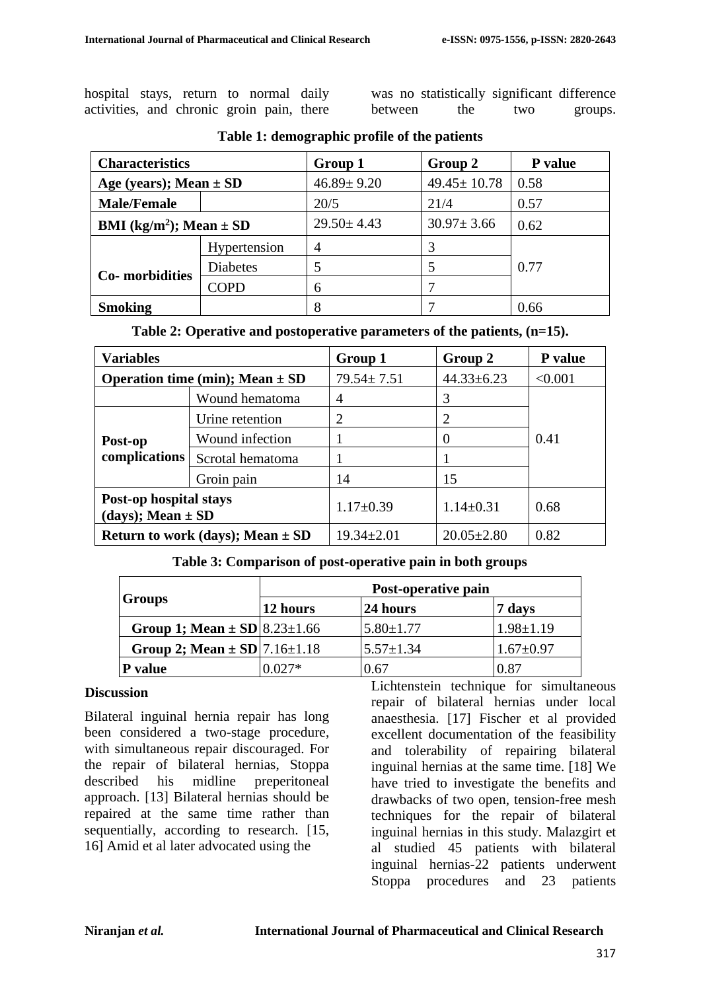| hospital stays, return to normal daily    |  |  |  |
|-------------------------------------------|--|--|--|
| activities, and chronic groin pain, there |  |  |  |

|         | was no statistically significant difference |     |         |
|---------|---------------------------------------------|-----|---------|
| between | the                                         | two | groups. |

| <b>Characteristics</b>                  |                 | Group 1          | Group 2           | P value |
|-----------------------------------------|-----------------|------------------|-------------------|---------|
| Age (years); Mean $\pm$ SD              |                 | $46.89 \pm 9.20$ | $49.45 \pm 10.78$ | 0.58    |
| <b>Male/Female</b>                      |                 | 20/5             | 21/4              | 0.57    |
| BMI (kg/m <sup>2</sup> ); Mean $\pm$ SD |                 | $29.50 \pm 4.43$ | $30.97 \pm 3.66$  | 0.62    |
|                                         | Hypertension    | 4                |                   |         |
| Co-morbidities                          | <b>Diabetes</b> | 5                |                   | 0.77    |
|                                         | <b>COPD</b>     | 6                |                   |         |
| <b>Smoking</b>                          |                 | 8                |                   | 0.66    |

| Table 1: demographic profile of the patients |  |
|----------------------------------------------|--|
|----------------------------------------------|--|

**Table 2: Operative and postoperative parameters of the patients, (n=15).**

| <b>Variables</b>                                |                                      | Group 1                            | Group 2          | P value |  |
|-------------------------------------------------|--------------------------------------|------------------------------------|------------------|---------|--|
| Operation time (min); Mean $\pm$ SD             |                                      | $79.54 \pm 7.51$                   | $44.33 \pm 6.23$ | < 0.001 |  |
|                                                 | Wound hematoma                       | $\overline{A}$                     | 3                |         |  |
| Post-op<br>complications                        | Urine retention                      | 2                                  | 2                |         |  |
|                                                 | Wound infection                      |                                    |                  | 0.41    |  |
|                                                 | Scrotal hematoma                     |                                    |                  |         |  |
|                                                 | Groin pain                           | 14                                 | 15               |         |  |
| Post-op hospital stays<br>(days); Mean $\pm$ SD |                                      | $1.17 \pm 0.39$<br>$1.14 \pm 0.31$ |                  | 0.68    |  |
|                                                 | Return to work (days); Mean $\pm$ SD | $19.34 \pm 2.01$                   | $20.05 \pm 2.80$ | 0.82    |  |

#### **Table 3: Comparison of post-operative pain in both groups**

|                                                | Post-operative pain |                 |                 |  |
|------------------------------------------------|---------------------|-----------------|-----------------|--|
| <b>Groups</b>                                  | $ 12$ hours         | 24 hours        | 7 days          |  |
| Group 1; Mean $\pm$ SD $\vert$ 8.23 $\pm$ 1.66 |                     | $5.80 \pm 1.77$ | $1.98 \pm 1.19$ |  |
| Group 2; Mean $\pm$ SD $ 7.16\pm1.18$          |                     | $5.57 \pm 1.34$ | $1.67 \pm 0.97$ |  |
| value                                          | ) በ27*              | 0.67            | 0.87            |  |

#### **Discussion**

Bilateral inguinal hernia repair has long been considered a two-stage procedure, with simultaneous repair discouraged. For the repair of bilateral hernias, Stoppa described his midline preperitoneal approach. [13] Bilateral hernias should be repaired at the same time rather than sequentially, according to research. [15, 16] Amid et al later advocated using the

Lichtenstein technique for simultaneous repair of bilateral hernias under local anaesthesia. [17] Fischer et al provided excellent documentation of the feasibility and tolerability of repairing bilateral inguinal hernias at the same time. [18] We have tried to investigate the benefits and drawbacks of two open, tension-free mesh techniques for the repair of bilateral inguinal hernias in this study. Malazgirt et al studied 45 patients with bilateral inguinal hernias-22 patients underwent Stoppa procedures and 23 patients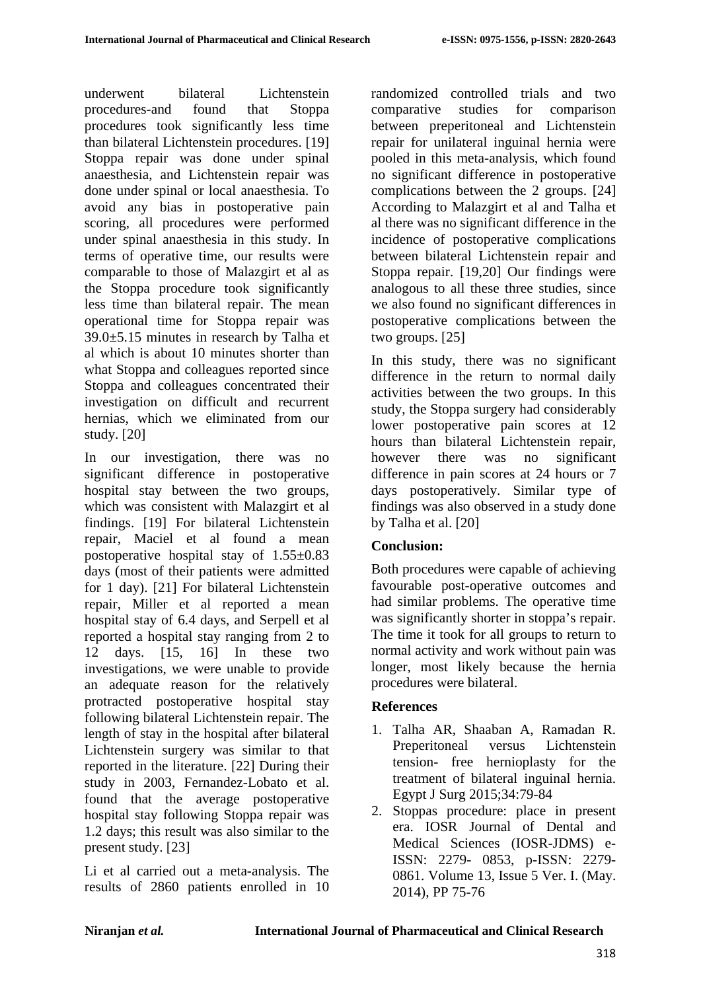underwent bilateral Lichtenstein procedures-and found that Stoppa procedures took significantly less time than bilateral Lichtenstein procedures. [19] Stoppa repair was done under spinal anaesthesia, and Lichtenstein repair was done under spinal or local anaesthesia. To avoid any bias in postoperative pain scoring, all procedures were performed under spinal anaesthesia in this study. In terms of operative time, our results were comparable to those of Malazgirt et al as the Stoppa procedure took significantly less time than bilateral repair. The mean operational time for Stoppa repair was 39.0±5.15 minutes in research by Talha et al which is about 10 minutes shorter than what Stoppa and colleagues reported since Stoppa and colleagues concentrated their investigation on difficult and recurrent hernias, which we eliminated from our study. [20]

In our investigation, there was no significant difference in postoperative hospital stay between the two groups, which was consistent with Malazgirt et al findings. [19] For bilateral Lichtenstein repair, Maciel et al found a mean postoperative hospital stay of 1.55±0.83 days (most of their patients were admitted for 1 day). [21] For bilateral Lichtenstein repair, Miller et al reported a mean hospital stay of 6.4 days, and Serpell et al reported a hospital stay ranging from 2 to 12 days. [15, 16] In these two investigations, we were unable to provide an adequate reason for the relatively protracted postoperative hospital stay following bilateral Lichtenstein repair. The length of stay in the hospital after bilateral Lichtenstein surgery was similar to that reported in the literature. [22] During their study in 2003, Fernandez-Lobato et al. found that the average postoperative hospital stay following Stoppa repair was 1.2 days; this result was also similar to the present study. [23]

Li et al carried out a meta-analysis. The results of 2860 patients enrolled in 10 randomized controlled trials and two comparative studies for comparison between preperitoneal and Lichtenstein repair for unilateral inguinal hernia were pooled in this meta-analysis, which found no significant difference in postoperative complications between the 2 groups. [24] According to Malazgirt et al and Talha et al there was no significant difference in the incidence of postoperative complications between bilateral Lichtenstein repair and Stoppa repair. [19,20] Our findings were analogous to all these three studies, since we also found no significant differences in postoperative complications between the two groups. [25]

In this study, there was no significant difference in the return to normal daily activities between the two groups. In this study, the Stoppa surgery had considerably lower postoperative pain scores at 12 hours than bilateral Lichtenstein repair, however there was no significant difference in pain scores at 24 hours or 7 days postoperatively. Similar type of findings was also observed in a study done by Talha et al. [20]

# **Conclusion:**

Both procedures were capable of achieving favourable post-operative outcomes and had similar problems. The operative time was significantly shorter in stoppa's repair. The time it took for all groups to return to normal activity and work without pain was longer, most likely because the hernia procedures were bilateral.

# **References**

- 1. Talha AR, Shaaban A, Ramadan R. Preperitoneal versus Lichtenstein tension- free hernioplasty for the treatment of bilateral inguinal hernia. Egypt J Surg 2015;34:79-84
- 2. Stoppas procedure: place in present era. IOSR Journal of Dental and Medical Sciences (IOSR-JDMS) e-ISSN: 2279- 0853, p-ISSN: 2279- 0861. Volume 13, Issue 5 Ver. I. (May. 2014), PP 75-76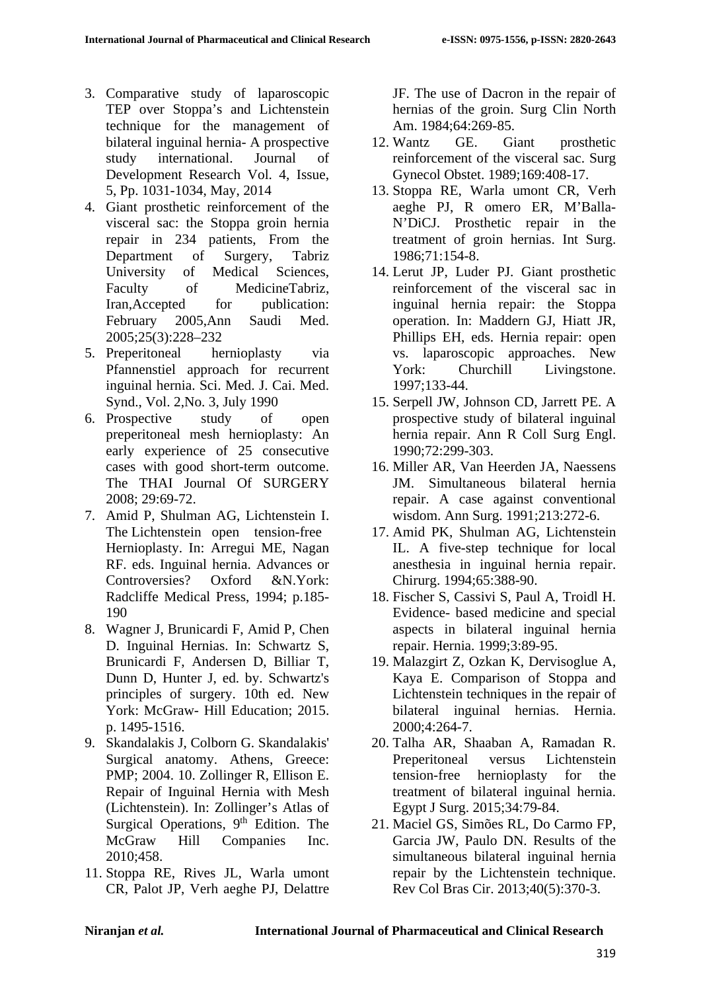- 3. Comparative study of laparoscopic TEP over Stoppa's and Lichtenstein technique for the management of bilateral inguinal hernia- A prospective study international. Journal of Development Research Vol. 4, Issue, 5, Pp. 1031-1034, May, 2014
- 4. Giant prosthetic reinforcement of the visceral sac: the Stoppa groin hernia repair in 234 patients, From the Department of Surgery, Tabriz University of Medical Sciences, Faculty of MedicineTabriz, Iran,Accepted for publication: February 2005,Ann Saudi Med. 2005;25(3):228–232
- 5. Preperitoneal hernioplasty via Pfannenstiel approach for recurrent inguinal hernia. Sci. Med. J. Cai. Med. Synd., Vol. 2,No. 3, July 1990
- 6. Prospective study of open preperitoneal mesh hernioplasty: An early experience of 25 consecutive cases with good short-term outcome. The THAI Journal Of SURGERY 2008; 29:69-72.
- 7. Amid P, Shulman AG, Lichtenstein I. The Lichtenstein open tension-free Hernioplasty. In: Arregui ME, Nagan RF. eds. Inguinal hernia. Advances or Controversies? Oxford &N.York: Radcliffe Medical Press, 1994; p.185- 190
- 8. Wagner J, Brunicardi F, Amid P, Chen D. Inguinal Hernias. In: Schwartz S, Brunicardi F, Andersen D, Billiar T, Dunn D, Hunter J, ed. by. Schwartz's principles of surgery. 10th ed. New York: McGraw- Hill Education; 2015. p. 1495-1516.
- 9. Skandalakis J, Colborn G. Skandalakis' Surgical anatomy. Athens, Greece: PMP; 2004. 10. Zollinger R, Ellison E. Repair of Inguinal Hernia with Mesh (Lichtenstein). In: Zollinger's Atlas of Surgical Operations,  $9<sup>th</sup>$  Edition. The McGraw Hill Companies Inc. 2010;458.
- 11. Stoppa RE, Rives JL, Warla umont CR, Palot JP, Verh aeghe PJ, Delattre

JF. The use of Dacron in the repair of hernias of the groin. Surg Clin North Am. 1984;64:269-85.

- 12. Wantz GE. Giant prosthetic reinforcement of the visceral sac. Surg Gynecol Obstet. 1989;169:408-17.
- 13. Stoppa RE, Warla umont CR, Verh aeghe PJ, R omero ER, M'Balla-N'DiCJ. Prosthetic repair in the treatment of groin hernias. Int Surg. 1986;71:154-8.
- 14. Lerut JP, Luder PJ. Giant prosthetic reinforcement of the visceral sac in inguinal hernia repair: the Stoppa operation. In: Maddern GJ, Hiatt JR, Phillips EH, eds. Hernia repair: open vs. laparoscopic approaches. New York: Churchill Livingstone. 1997;133-44.
- 15. Serpell JW, Johnson CD, Jarrett PE. A prospective study of bilateral inguinal hernia repair. Ann R Coll Surg Engl. 1990;72:299-303.
- 16. Miller AR, Van Heerden JA, Naessens JM. Simultaneous bilateral hernia repair. A case against conventional wisdom. Ann Surg. 1991;213:272-6.
- 17. Amid PK, Shulman AG, Lichtenstein IL. A five-step technique for local anesthesia in inguinal hernia repair. Chirurg. 1994;65:388-90.
- 18. Fischer S, Cassivi S, Paul A, Troidl H. Evidence- based medicine and special aspects in bilateral inguinal hernia repair. Hernia. 1999;3:89-95.
- 19. Malazgirt Z, Ozkan K, Dervisoglue A, Kaya E. Comparison of Stoppa and Lichtenstein techniques in the repair of bilateral inguinal hernias. Hernia. 2000;4:264-7.
- 20. Talha AR, Shaaban A, Ramadan R. Preperitoneal versus Lichtenstein tension-free hernioplasty for the treatment of bilateral inguinal hernia. Egypt J Surg. 2015;34:79-84.
- 21. Maciel GS, Simões RL, Do Carmo FP, Garcia JW, Paulo DN. Results of the simultaneous bilateral inguinal hernia repair by the Lichtenstein technique. Rev Col Bras Cir. 2013;40(5):370-3.